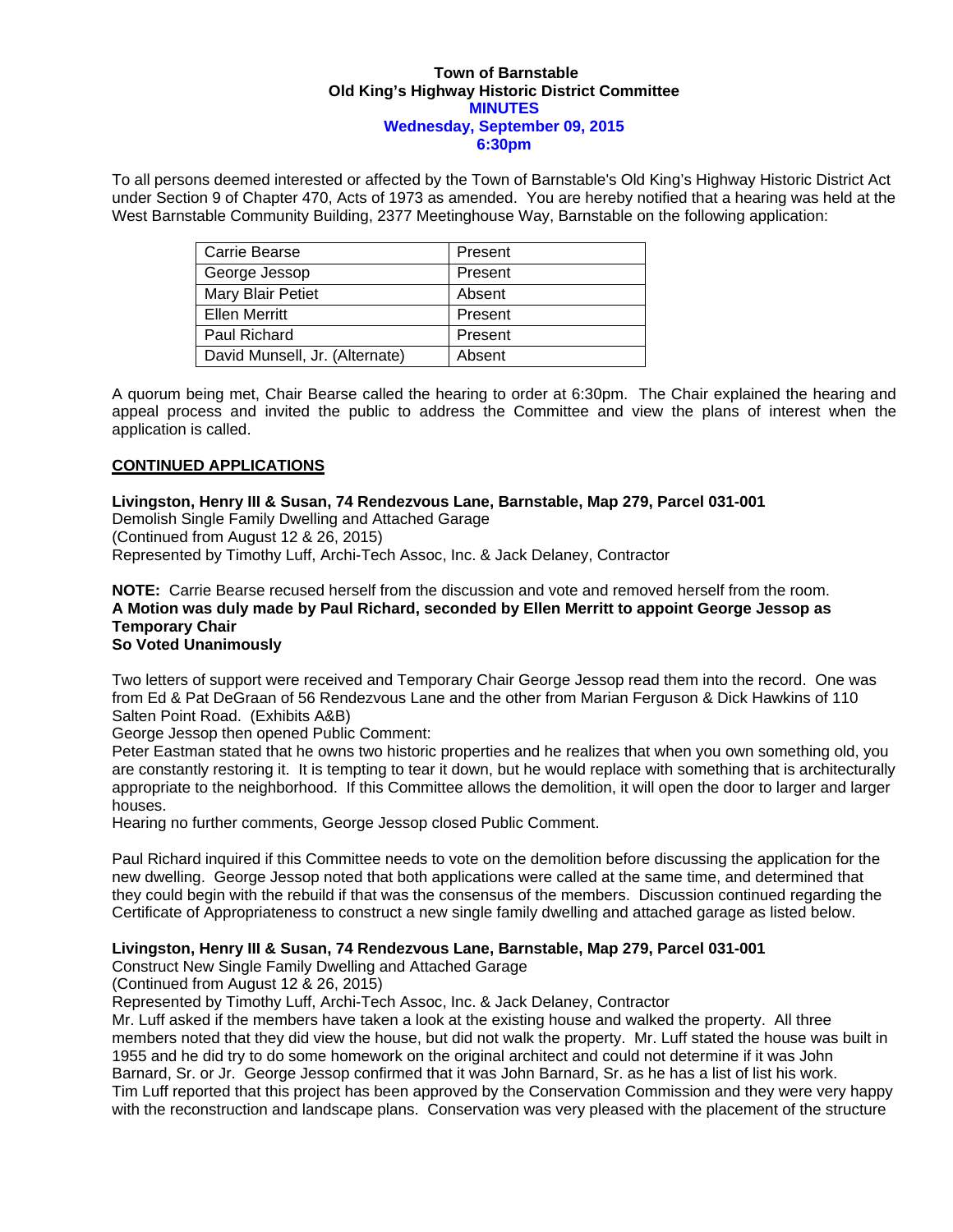#### **Town of Barnstable Old King's Highway Historic District Committee MINUTES Wednesday, September 09, 2015 6:30pm**

To all persons deemed interested or affected by the Town of Barnstable's Old King's Highway Historic District Act under Section 9 of Chapter 470, Acts of 1973 as amended. You are hereby notified that a hearing was held at the West Barnstable Community Building, 2377 Meetinghouse Way, Barnstable on the following application:

| <b>Carrie Bearse</b>           | Present |
|--------------------------------|---------|
| George Jessop                  | Present |
| Mary Blair Petiet              | Absent  |
| <b>Ellen Merritt</b>           | Present |
| Paul Richard                   | Present |
| David Munsell, Jr. (Alternate) | Absent  |

A quorum being met, Chair Bearse called the hearing to order at 6:30pm. The Chair explained the hearing and appeal process and invited the public to address the Committee and view the plans of interest when the application is called.

### **CONTINUED APPLICATIONS**

**Livingston, Henry III & Susan, 74 Rendezvous Lane, Barnstable, Map 279, Parcel 031-001**  Demolish Single Family Dwelling and Attached Garage (Continued from August 12 & 26, 2015) Represented by Timothy Luff, Archi-Tech Assoc, Inc. & Jack Delaney, Contractor

**NOTE:** Carrie Bearse recused herself from the discussion and vote and removed herself from the room. **A Motion was duly made by Paul Richard, seconded by Ellen Merritt to appoint George Jessop as Temporary Chair So Voted Unanimously**

Two letters of support were received and Temporary Chair George Jessop read them into the record. One was from Ed & Pat DeGraan of 56 Rendezvous Lane and the other from Marian Ferguson & Dick Hawkins of 110 Salten Point Road. (Exhibits A&B)

George Jessop then opened Public Comment:

Peter Eastman stated that he owns two historic properties and he realizes that when you own something old, you are constantly restoring it. It is tempting to tear it down, but he would replace with something that is architecturally appropriate to the neighborhood. If this Committee allows the demolition, it will open the door to larger and larger houses.

Hearing no further comments, George Jessop closed Public Comment.

Paul Richard inquired if this Committee needs to vote on the demolition before discussing the application for the new dwelling. George Jessop noted that both applications were called at the same time, and determined that they could begin with the rebuild if that was the consensus of the members. Discussion continued regarding the Certificate of Appropriateness to construct a new single family dwelling and attached garage as listed below.

### **Livingston, Henry III & Susan, 74 Rendezvous Lane, Barnstable, Map 279, Parcel 031-001**

Construct New Single Family Dwelling and Attached Garage

(Continued from August 12 & 26, 2015)

Represented by Timothy Luff, Archi-Tech Assoc, Inc. & Jack Delaney, Contractor

Mr. Luff asked if the members have taken a look at the existing house and walked the property. All three members noted that they did view the house, but did not walk the property. Mr. Luff stated the house was built in 1955 and he did try to do some homework on the original architect and could not determine if it was John Barnard, Sr. or Jr. George Jessop confirmed that it was John Barnard, Sr. as he has a list of list his work. Tim Luff reported that this project has been approved by the Conservation Commission and they were very happy with the reconstruction and landscape plans. Conservation was very pleased with the placement of the structure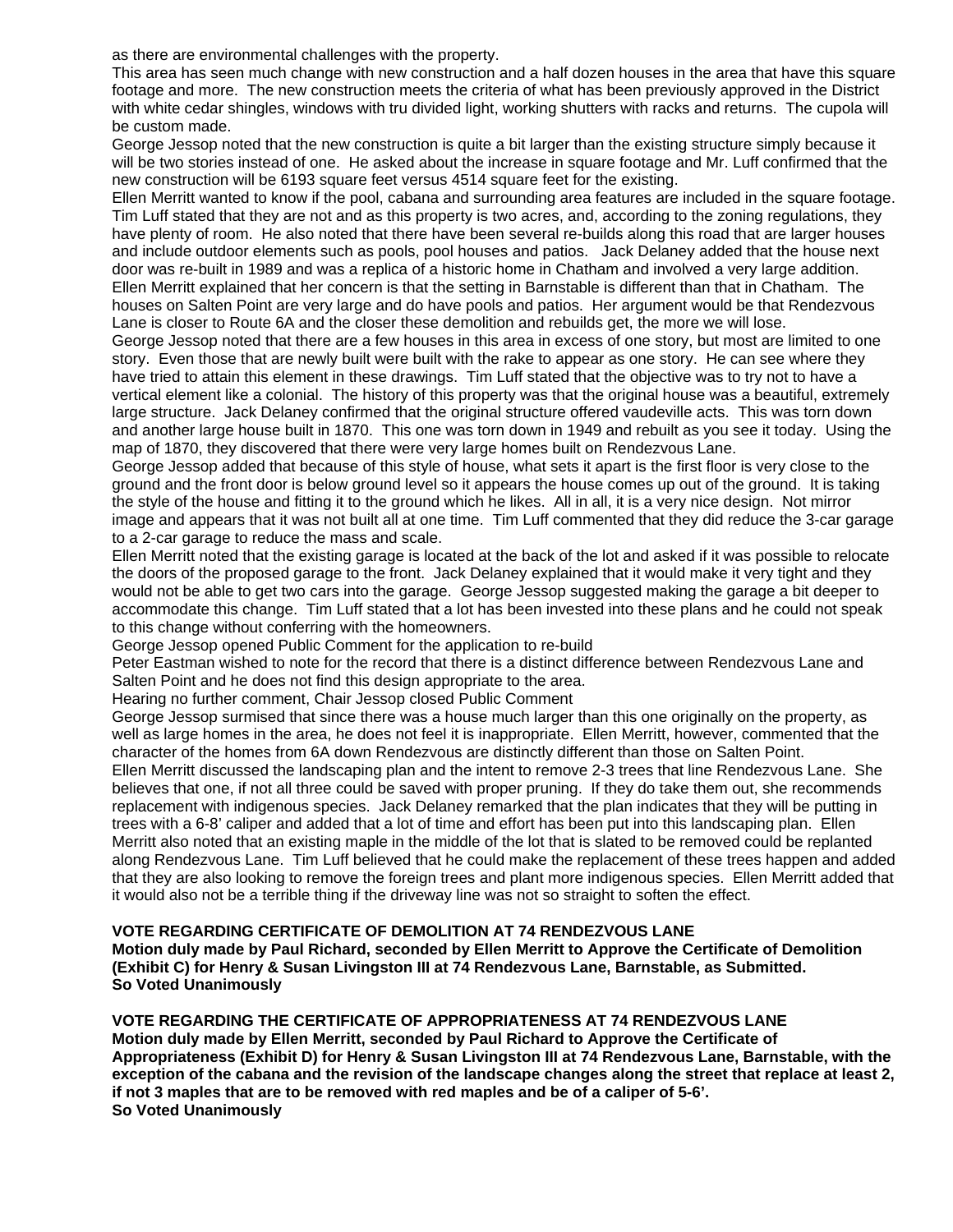as there are environmental challenges with the property.

This area has seen much change with new construction and a half dozen houses in the area that have this square footage and more. The new construction meets the criteria of what has been previously approved in the District with white cedar shingles, windows with tru divided light, working shutters with racks and returns. The cupola will be custom made.

George Jessop noted that the new construction is quite a bit larger than the existing structure simply because it will be two stories instead of one. He asked about the increase in square footage and Mr. Luff confirmed that the new construction will be 6193 square feet versus 4514 square feet for the existing.

Ellen Merritt wanted to know if the pool, cabana and surrounding area features are included in the square footage. Tim Luff stated that they are not and as this property is two acres, and, according to the zoning regulations, they have plenty of room. He also noted that there have been several re-builds along this road that are larger houses and include outdoor elements such as pools, pool houses and patios. Jack Delaney added that the house next door was re-built in 1989 and was a replica of a historic home in Chatham and involved a very large addition. Ellen Merritt explained that her concern is that the setting in Barnstable is different than that in Chatham. The houses on Salten Point are very large and do have pools and patios. Her argument would be that Rendezvous Lane is closer to Route 6A and the closer these demolition and rebuilds get, the more we will lose.

George Jessop noted that there are a few houses in this area in excess of one story, but most are limited to one story. Even those that are newly built were built with the rake to appear as one story. He can see where they have tried to attain this element in these drawings. Tim Luff stated that the objective was to try not to have a vertical element like a colonial. The history of this property was that the original house was a beautiful, extremely large structure. Jack Delaney confirmed that the original structure offered vaudeville acts. This was torn down and another large house built in 1870. This one was torn down in 1949 and rebuilt as you see it today. Using the map of 1870, they discovered that there were very large homes built on Rendezvous Lane.

George Jessop added that because of this style of house, what sets it apart is the first floor is very close to the ground and the front door is below ground level so it appears the house comes up out of the ground. It is taking the style of the house and fitting it to the ground which he likes. All in all, it is a very nice design. Not mirror image and appears that it was not built all at one time. Tim Luff commented that they did reduce the 3-car garage to a 2-car garage to reduce the mass and scale.

Ellen Merritt noted that the existing garage is located at the back of the lot and asked if it was possible to relocate the doors of the proposed garage to the front. Jack Delaney explained that it would make it very tight and they would not be able to get two cars into the garage. George Jessop suggested making the garage a bit deeper to accommodate this change. Tim Luff stated that a lot has been invested into these plans and he could not speak to this change without conferring with the homeowners.

George Jessop opened Public Comment for the application to re-build

Peter Eastman wished to note for the record that there is a distinct difference between Rendezvous Lane and Salten Point and he does not find this design appropriate to the area.

Hearing no further comment, Chair Jessop closed Public Comment

George Jessop surmised that since there was a house much larger than this one originally on the property, as well as large homes in the area, he does not feel it is inappropriate. Ellen Merritt, however, commented that the character of the homes from 6A down Rendezvous are distinctly different than those on Salten Point. Ellen Merritt discussed the landscaping plan and the intent to remove 2-3 trees that line Rendezvous Lane. She believes that one, if not all three could be saved with proper pruning. If they do take them out, she recommends replacement with indigenous species. Jack Delaney remarked that the plan indicates that they will be putting in trees with a 6-8' caliper and added that a lot of time and effort has been put into this landscaping plan. Ellen Merritt also noted that an existing maple in the middle of the lot that is slated to be removed could be replanted along Rendezvous Lane. Tim Luff believed that he could make the replacement of these trees happen and added that they are also looking to remove the foreign trees and plant more indigenous species. Ellen Merritt added that it would also not be a terrible thing if the driveway line was not so straight to soften the effect.

### **VOTE REGARDING CERTIFICATE OF DEMOLITION AT 74 RENDEZVOUS LANE**

**Motion duly made by Paul Richard, seconded by Ellen Merritt to Approve the Certificate of Demolition (Exhibit C) for Henry & Susan Livingston III at 74 Rendezvous Lane, Barnstable, as Submitted. So Voted Unanimously** 

# **VOTE REGARDING THE CERTIFICATE OF APPROPRIATENESS AT 74 RENDEZVOUS LANE**

**Motion duly made by Ellen Merritt, seconded by Paul Richard to Approve the Certificate of Appropriateness (Exhibit D) for Henry & Susan Livingston III at 74 Rendezvous Lane, Barnstable, with the exception of the cabana and the revision of the landscape changes along the street that replace at least 2, if not 3 maples that are to be removed with red maples and be of a caliper of 5-6'. So Voted Unanimously**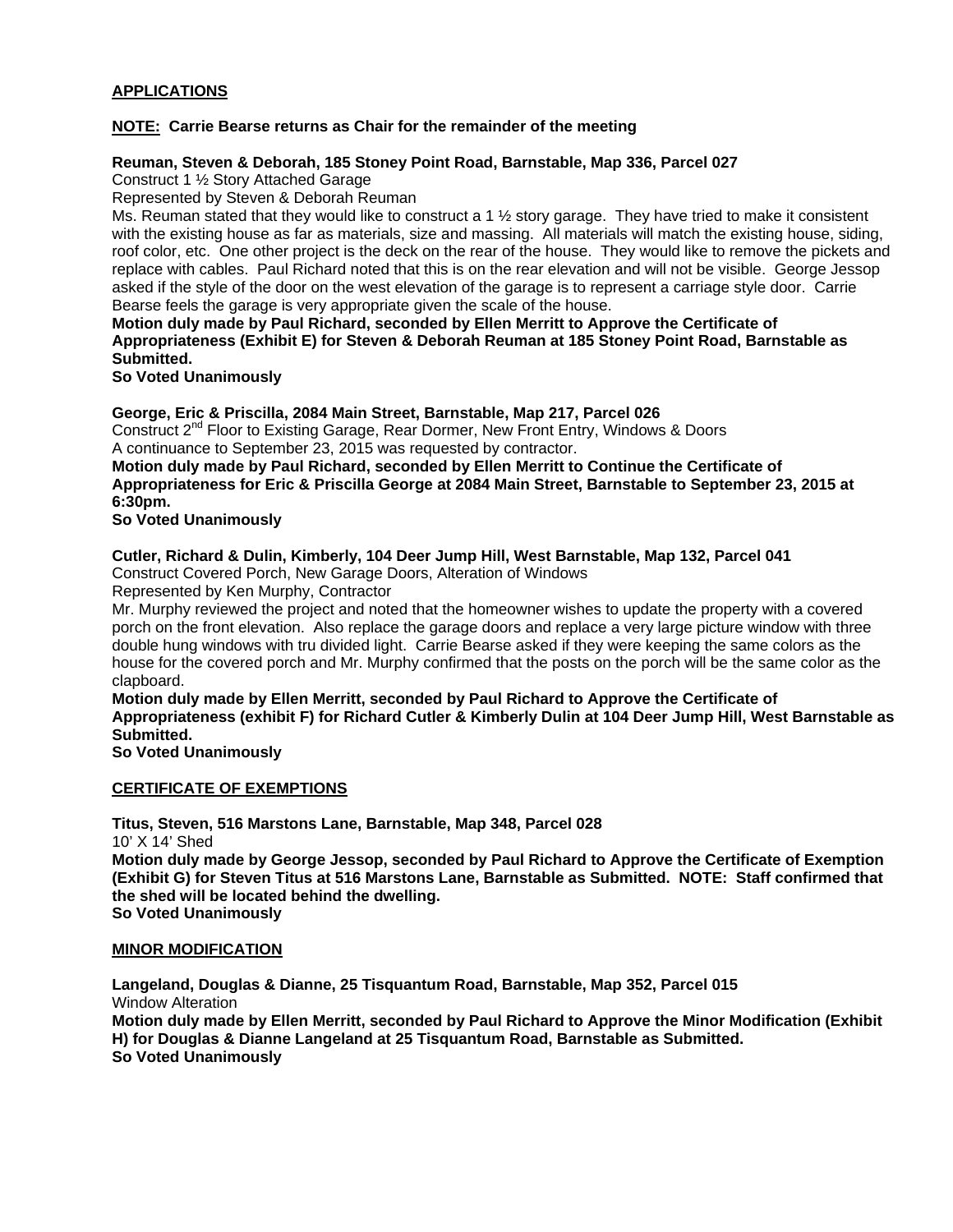## **APPLICATIONS**

### **NOTE: Carrie Bearse returns as Chair for the remainder of the meeting**

### **Reuman, Steven & Deborah, 185 Stoney Point Road, Barnstable, Map 336, Parcel 027**

Construct 1 ½ Story Attached Garage

Represented by Steven & Deborah Reuman

Ms. Reuman stated that they would like to construct a 1 ½ story garage. They have tried to make it consistent with the existing house as far as materials, size and massing. All materials will match the existing house, siding, roof color, etc. One other project is the deck on the rear of the house. They would like to remove the pickets and replace with cables. Paul Richard noted that this is on the rear elevation and will not be visible. George Jessop asked if the style of the door on the west elevation of the garage is to represent a carriage style door. Carrie Bearse feels the garage is very appropriate given the scale of the house.

**Motion duly made by Paul Richard, seconded by Ellen Merritt to Approve the Certificate of Appropriateness (Exhibit E) for Steven & Deborah Reuman at 185 Stoney Point Road, Barnstable as Submitted.** 

**So Voted Unanimously** 

**George, Eric & Priscilla, 2084 Main Street, Barnstable, Map 217, Parcel 026** 

Construct 2nd Floor to Existing Garage, Rear Dormer, New Front Entry, Windows & Doors A continuance to September 23, 2015 was requested by contractor.

**Motion duly made by Paul Richard, seconded by Ellen Merritt to Continue the Certificate of Appropriateness for Eric & Priscilla George at 2084 Main Street, Barnstable to September 23, 2015 at 6:30pm.** 

**So Voted Unanimously** 

### **Cutler, Richard & Dulin, Kimberly, 104 Deer Jump Hill, West Barnstable, Map 132, Parcel 041**

Construct Covered Porch, New Garage Doors, Alteration of Windows

Represented by Ken Murphy, Contractor

Mr. Murphy reviewed the project and noted that the homeowner wishes to update the property with a covered porch on the front elevation. Also replace the garage doors and replace a very large picture window with three double hung windows with tru divided light. Carrie Bearse asked if they were keeping the same colors as the house for the covered porch and Mr. Murphy confirmed that the posts on the porch will be the same color as the clapboard.

**Motion duly made by Ellen Merritt, seconded by Paul Richard to Approve the Certificate of Appropriateness (exhibit F) for Richard Cutler & Kimberly Dulin at 104 Deer Jump Hill, West Barnstable as Submitted.** 

**So Voted Unanimously** 

**CERTIFICATE OF EXEMPTIONS** 

**Titus, Steven, 516 Marstons Lane, Barnstable, Map 348, Parcel 028**  10' X 14' Shed

**Motion duly made by George Jessop, seconded by Paul Richard to Approve the Certificate of Exemption (Exhibit G) for Steven Titus at 516 Marstons Lane, Barnstable as Submitted. NOTE: Staff confirmed that the shed will be located behind the dwelling.** 

**So Voted Unanimously** 

### **MINOR MODIFICATION**

**Langeland, Douglas & Dianne, 25 Tisquantum Road, Barnstable, Map 352, Parcel 015**  Window Alteration

**Motion duly made by Ellen Merritt, seconded by Paul Richard to Approve the Minor Modification (Exhibit H) for Douglas & Dianne Langeland at 25 Tisquantum Road, Barnstable as Submitted. So Voted Unanimously**